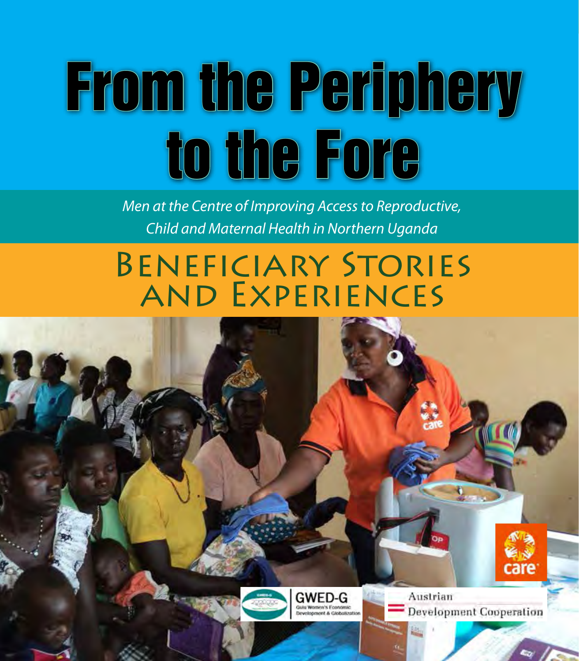# From the Periphery to the Fore

*Men at the Centre of Improving Access to Reproductive, Child and Maternal Health in Northern Uganda*

# Beneficiary Stories and Experiences



**GWED-G** evelopment & Clobalization

Austrian **Development Cooperation** 

*From the Periphery to the Fore*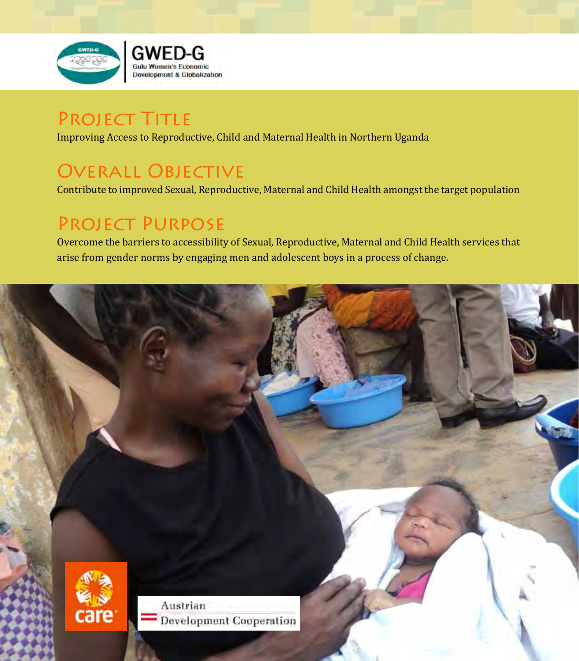

## PROJECT TITLE

Improving Access to Reproductive, Child and Maternal Health in Northern Uganda

## Overall Objective

Contribute to improved Sexual, Reproductive, Maternal and Child Health amongst the target population

## Project Purpose

Overcome the barriers to accessibility of Sexual, Reproductive, Maternal and Child Health services that arise from gender norms by engaging men and adolescent boys in a process of change.

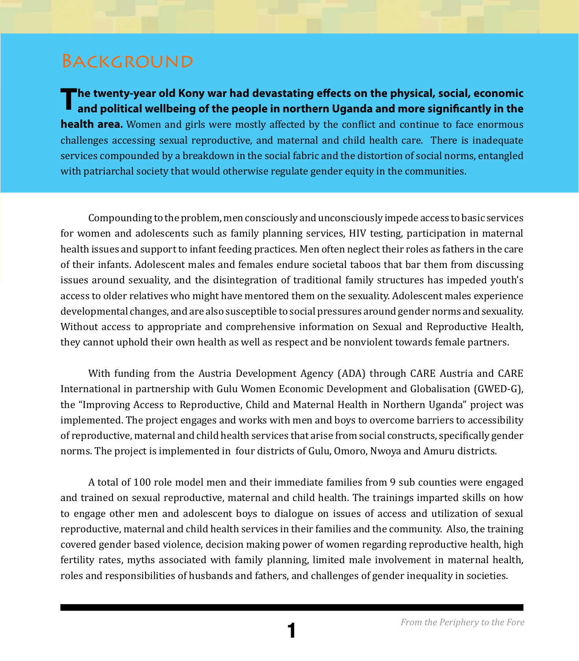### **BACKGROUND**

The twenty-year old Kony war had devastating effects on the physical, social, economic<br>and political wellbeing of the people in northern Uganda and more significantly in the **health area.** Women and girls were mostly affected by the conflict and continue to face enormous challenges accessing sexual reproductive, and maternal and child health care. There is inadequate services compounded by a breakdown in the social fabric and the distortion of social norms, entangled with patriarchal society that would otherwise regulate gender equity in the communities.

Compounding to the problem, men consciously and unconsciously impede access to basic services for women and adolescents such as family planning services, HIV testing, participation in maternal health issues and support to infant feeding practices. Men often neglect their roles as fathers in the care of their infants. Adolescent males and females endure societal taboos that bar them from discussing issues around sexuality, and the disintegration of traditional family structures has impeded youth's access to older relatives who might have mentored them on the sexuality. Adolescent males experience developmental changes, and are also susceptible to social pressures around gender norms and sexuality. Without access to appropriate and comprehensive information on Sexual and Reproductive Health, they cannot uphold their own health as well as respect and be nonviolent towards female partners.

With funding from the Austria Development Agency (ADA) through CARE Austria and CARE International in partnership with Gulu Women Economic Development and Globalisation (GWED-G), the "Improving Access to Reproductive, Child and Maternal Health in Northern Uganda" project was implemented. The project engages and works with men and boys to overcome barriers to accessibility of reproductive, maternal and child health services that arise from social constructs, specifically gender norms. The project is implemented in four districts of Gulu, Omoro, Nwoya and Amuru districts.

A total of 100 role model men and their immediate families from 9 sub counties were engaged and trained on sexual reproductive, maternal and child health. The trainings imparted skills on how to engage other men and adolescent boys to dialogue on issues of access and utilization of sexual reproductive, maternal and child health services in their families and the community. Also, the training covered gender based violence, decision making power of women regarding reproductive health, high fertility rates, myths associated with family planning, limited male involvement in maternal health, roles and responsibilities of husbands and fathers, and challenges of gender inequality in societies.

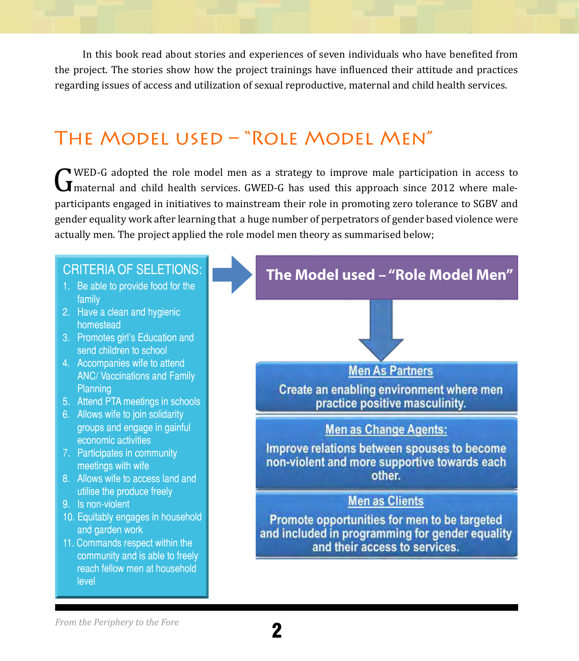In this book read about stories and experiences of seven individuals who have benefited from the project. The stories show how the project trainings have influenced their attitude and practices regarding issues of access and utilization of sexual reproductive, maternal and child health services.

## The Model used – "Role Model Men"

G WED-G adopted the role model men as a strategy to improve male participation in access to<br>
I maternal and child health services. GWED-G has used this approach since 2012 where male-<br>
participants engaged in initiatives t maternal and child health services. GWED-G has used this approach since 2012 where maleparticipants engaged in initiatives to mainstream their role in promoting zero tolerance to SGBV and gender equality work after learning that a huge number of perpetrators of gender based violence were actually men. The project applied the role model men theory as summarised below;



level

family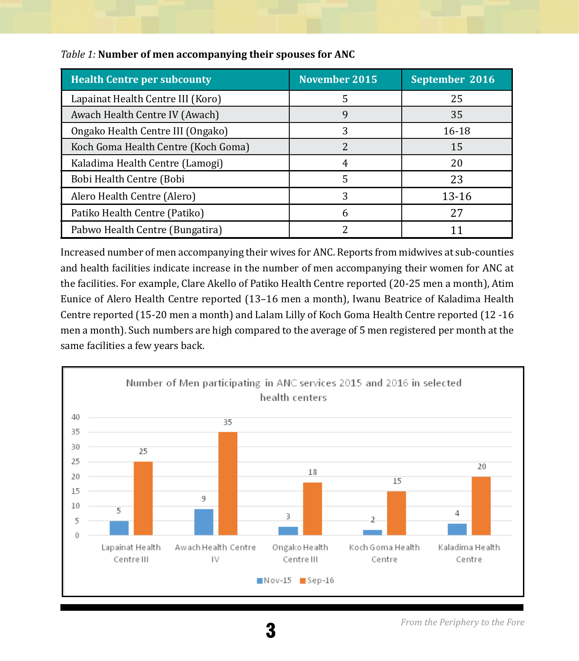| <b>Health Centre per subcounty</b>  | <b>November 2015</b> | September 2016 |
|-------------------------------------|----------------------|----------------|
| Lapainat Health Centre III (Koro)   | 5                    | 25             |
| Awach Health Centre IV (Awach)      | 9                    | 35             |
| Ongako Health Centre III (Ongako)   | 3                    | 16-18          |
| Koch Goma Health Centre (Koch Goma) |                      | 15             |
| Kaladima Health Centre (Lamogi)     |                      | 20             |
| Bobi Health Centre (Bobi            | 5                    | 23             |
| Alero Health Centre (Alero)         | 3                    | $13 - 16$      |
| Patiko Health Centre (Patiko)       | h                    | 27             |
| Pabwo Health Centre (Bungatira)     |                      |                |

#### *Table 1:* **Number of men accompanying their spouses for ANC**

Increased number of men accompanying their wives for ANC. Reports from midwives at sub-counties and health facilities indicate increase in the number of men accompanying their women for ANC at the facilities. For example, Clare Akello of Patiko Health Centre reported (20-25 men a month), Atim Eunice of Alero Health Centre reported (13–16 men a month), Iwanu Beatrice of Kaladima Health Centre reported (15-20 men a month) and Lalam Lilly of Koch Goma Health Centre reported (12 -16 men a month). Such numbers are high compared to the average of 5 men registered per month at the same facilities a few years back.

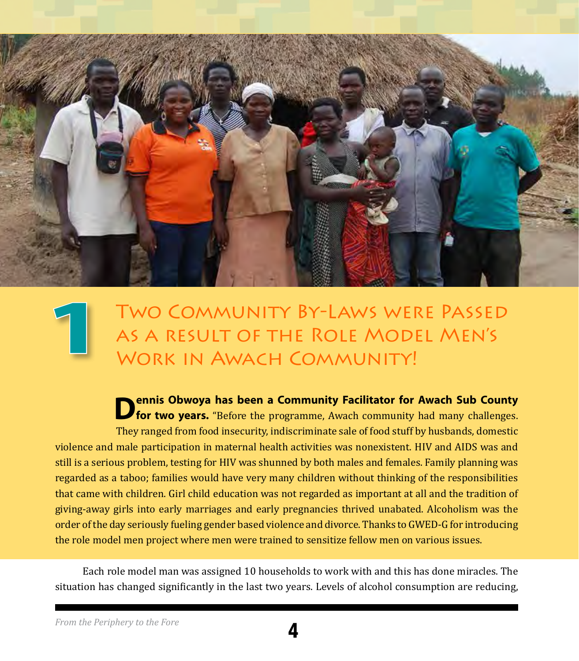

## Two Community By-Laws were Passed as a result of the Role Model Men's WORK IN AWACH COMMUNITY! **1**

**Dennis Obwoya has been a Community Facilitator for Awach Sub County for two years.** "Before the programme, Awach community had many challenges. They ranged from food insecurity, indiscriminate sale of food stuff by husbands, domestic violence and male participation in maternal health activities was nonexistent. HIV and AIDS was and still is a serious problem, testing for HIV was shunned by both males and females. Family planning was regarded as a taboo; families would have very many children without thinking of the responsibilities that came with children. Girl child education was not regarded as important at all and the tradition of giving-away girls into early marriages and early pregnancies thrived unabated. Alcoholism was the order of the day seriously fueling gender based violence and divorce. Thanks to GWED-G for introducing the role model men project where men were trained to sensitize fellow men on various issues.

Each role model man was assigned 10 households to work with and this has done miracles. The situation has changed significantly in the last two years. Levels of alcohol consumption are reducing,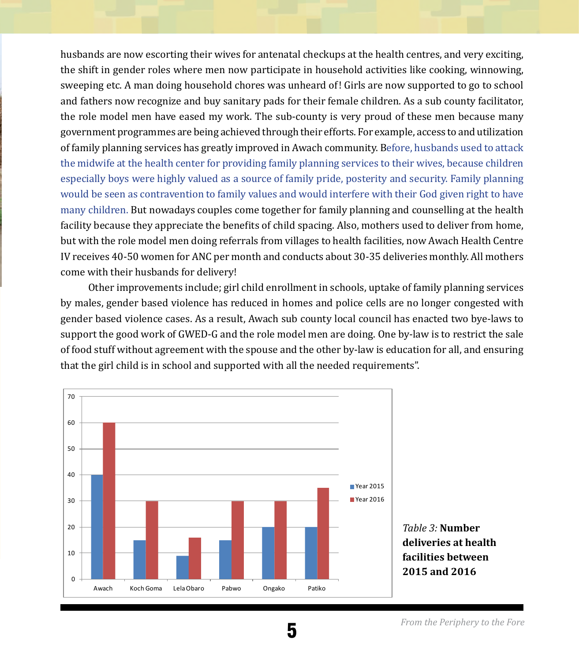husbands are now escorting their wives for antenatal checkups at the health centres, and very exciting, the shift in gender roles where men now participate in household activities like cooking, winnowing, sweeping etc. A man doing household chores was unheard of! Girls are now supported to go to school and fathers now recognize and buy sanitary pads for their female children. As a sub county facilitator, the role model men have eased my work. The sub-county is very proud of these men because many government programmes are being achieved through their efforts. For example, access to and utilization of family planning services has greatly improved in Awach community. Before, husbands used to attack the midwife at the health center for providing family planning services to their wives, because children especially boys were highly valued as a source of family pride, posterity and security. Family planning would be seen as contravention to family values and would interfere with their God given right to have many children. But nowadays couples come together for family planning and counselling at the health facility because they appreciate the benefits of child spacing. Also, mothers used to deliver from home, but with the role model men doing referrals from villages to health facilities, now Awach Health Centre IV receives 40-50 women for ANC per month and conducts about 30-35 deliveries monthly. All mothers come with their husbands for delivery!

Other improvements include; girl child enrollment in schools, uptake of family planning services by males, gender based violence has reduced in homes and police cells are no longer congested with gender based violence cases. As a result, Awach sub county local council has enacted two bye-laws to support the good work of GWED-G and the role model men are doing. One by-law is to restrict the sale of food stuff without agreement with the spouse and the other by-law is education for all, and ensuring that the girl child is in school and supported with all the needed requirements".



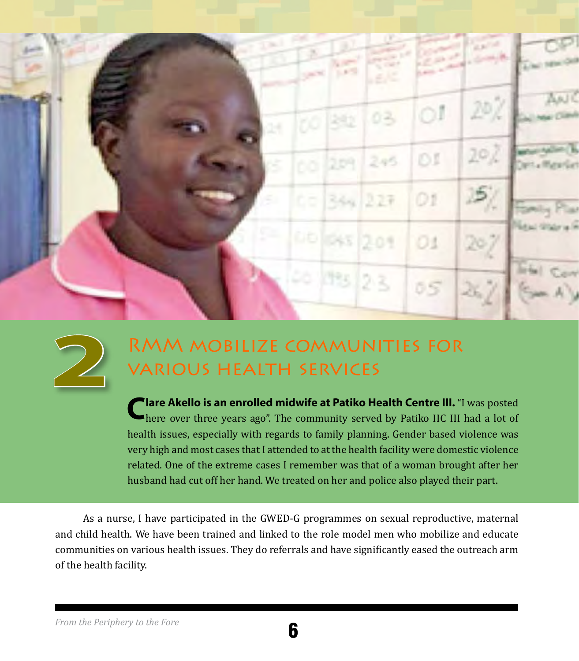



## RMM mobilize communities for various health services

**Clare Akello is an enrolled midwife at Patiko Health Centre III.** "I was posted here over three years ago". The community served by Patiko HC III had a lot of health issues, especially with regards to family planning. Gender based violence was very high and most cases that I attended to at the health facility were domestic violence related. One of the extreme cases I remember was that of a woman brought after her husband had cut off her hand. We treated on her and police also played their part.

As a nurse, I have participated in the GWED-G programmes on sexual reproductive, maternal and child health. We have been trained and linked to the role model men who mobilize and educate communities on various health issues. They do referrals and have significantly eased the outreach arm of the health facility.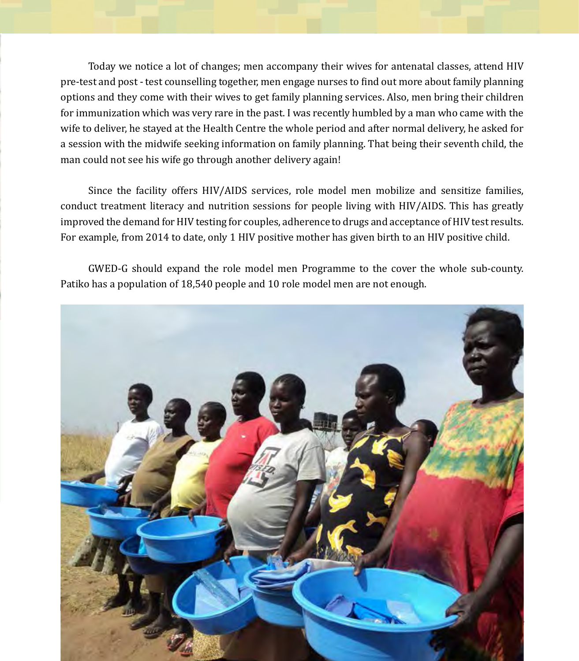Today we notice a lot of changes; men accompany their wives for antenatal classes, attend HIV pre-test and post - test counselling together, men engage nurses to find out more about family planning options and they come with their wives to get family planning services. Also, men bring their children for immunization which was very rare in the past. I was recently humbled by a man who came with the wife to deliver, he stayed at the Health Centre the whole period and after normal delivery, he asked for a session with the midwife seeking information on family planning. That being their seventh child, the man could not see his wife go through another delivery again!

Since the facility offers HIV/AIDS services, role model men mobilize and sensitize families, conduct treatment literacy and nutrition sessions for people living with HIV/AIDS. This has greatly improved the demand for HIV testing for couples, adherence to drugs and acceptance of HIV test results. For example, from 2014 to date, only 1 HIV positive mother has given birth to an HIV positive child.

GWED-G should expand the role model men Programme to the cover the whole sub-county. Patiko has a population of 18,540 people and 10 role model men are not enough.

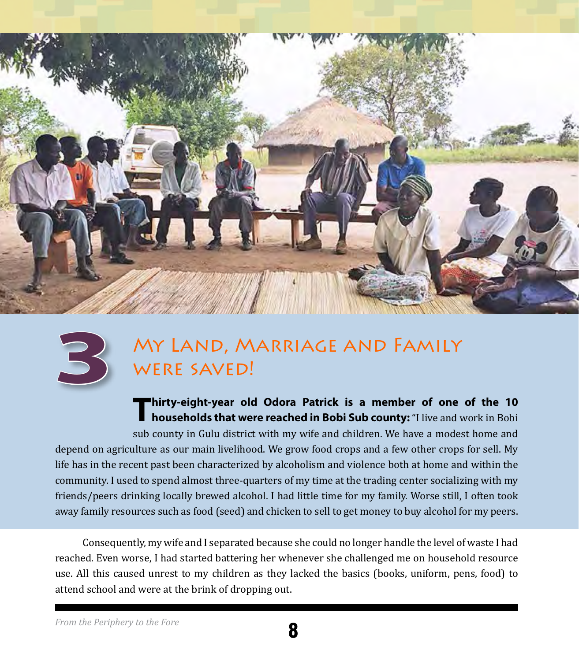



## My Land, Marriage and Family WERE SAVED!

**Thirty-eight-year old Odora Patrick is a member of one of the 10 households that were reached in Bobi Sub county:** "I live and work in Bobi sub county in Gulu district with my wife and children. We have a modest home and depend on agriculture as our main livelihood. We grow food crops and a few other crops for sell. My life has in the recent past been characterized by alcoholism and violence both at home and within the community. I used to spend almost three-quarters of my time at the trading center socializing with my friends/peers drinking locally brewed alcohol. I had little time for my family. Worse still, I often took away family resources such as food (seed) and chicken to sell to get money to buy alcohol for my peers.

Consequently, my wife and I separated because she could no longer handle the level of waste I had reached. Even worse, I had started battering her whenever she challenged me on household resource use. All this caused unrest to my children as they lacked the basics (books, uniform, pens, food) to attend school and were at the brink of dropping out.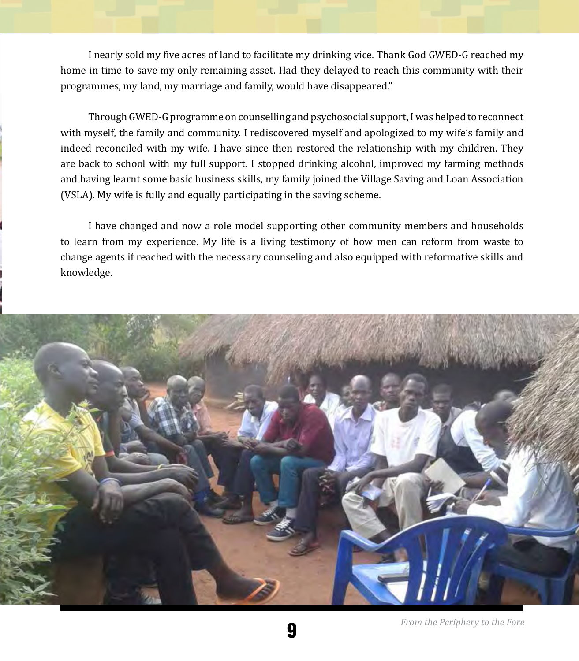I nearly sold my five acres of land to facilitate my drinking vice. Thank God GWED-G reached my home in time to save my only remaining asset. Had they delayed to reach this community with their programmes, my land, my marriage and family, would have disappeared."

Through GWED-G programme on counselling and psychosocial support, I was helped to reconnect with myself, the family and community. I rediscovered myself and apologized to my wife's family and indeed reconciled with my wife. I have since then restored the relationship with my children. They are back to school with my full support. I stopped drinking alcohol, improved my farming methods and having learnt some basic business skills, my family joined the Village Saving and Loan Association (VSLA). My wife is fully and equally participating in the saving scheme.

I have changed and now a role model supporting other community members and households to learn from my experience. My life is a living testimony of how men can reform from waste to change agents if reached with the necessary counseling and also equipped with reformative skills and knowledge.



9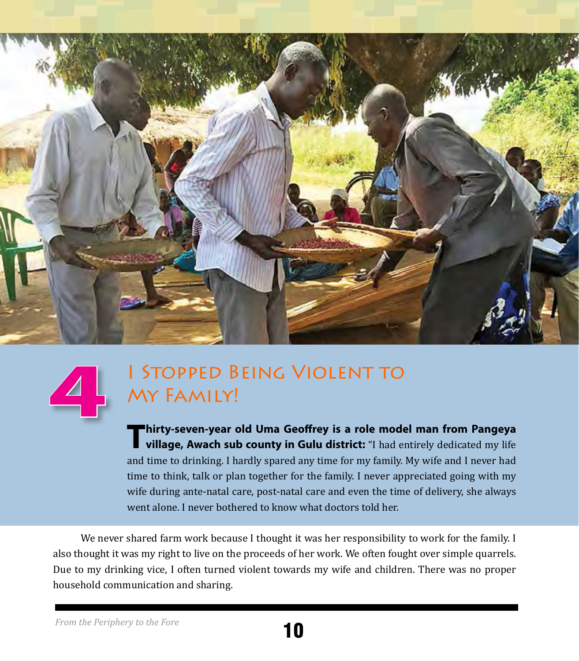



## I Stopped Being Violent to My Family!

**Thirty-seven-year old Uma Geoffrey is a role model man from Pangeya village, Awach sub county in Gulu district:** "I had entirely dedicated my life and time to drinking. I hardly spared any time for my family. My wife and I never had time to think, talk or plan together for the family. I never appreciated going with my wife during ante-natal care, post-natal care and even the time of delivery, she always went alone. I never bothered to know what doctors told her.

We never shared farm work because I thought it was her responsibility to work for the family. I also thought it was my right to live on the proceeds of her work. We often fought over simple quarrels. Due to my drinking vice, I often turned violent towards my wife and children. There was no proper household communication and sharing.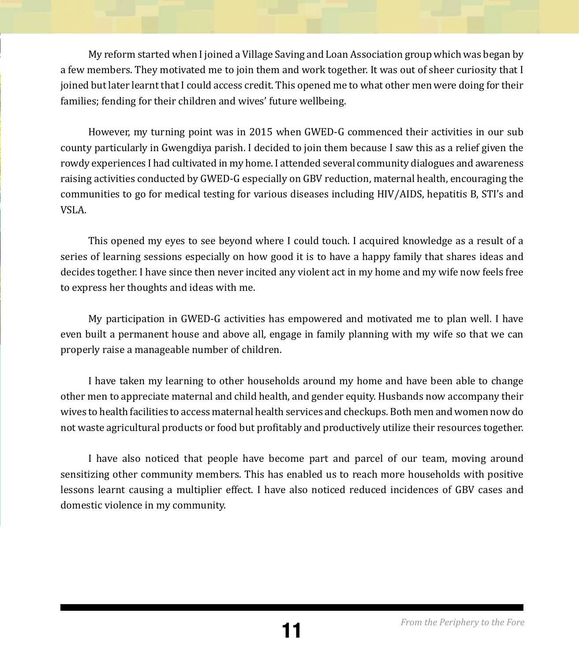My reform started when I joined a Village Saving and Loan Association group which was began by a few members. They motivated me to join them and work together. It was out of sheer curiosity that I joined but later learnt that I could access credit. This opened me to what other men were doing for their families; fending for their children and wives' future wellbeing.

However, my turning point was in 2015 when GWED-G commenced their activities in our sub county particularly in Gwengdiya parish. I decided to join them because I saw this as a relief given the rowdy experiences I had cultivated in my home. I attended several community dialogues and awareness raising activities conducted by GWED-G especially on GBV reduction, maternal health, encouraging the communities to go for medical testing for various diseases including HIV/AIDS, hepatitis B, STI's and VSLA.

This opened my eyes to see beyond where I could touch. I acquired knowledge as a result of a series of learning sessions especially on how good it is to have a happy family that shares ideas and decides together. I have since then never incited any violent act in my home and my wife now feels free to express her thoughts and ideas with me.

My participation in GWED-G activities has empowered and motivated me to plan well. I have even built a permanent house and above all, engage in family planning with my wife so that we can properly raise a manageable number of children.

I have taken my learning to other households around my home and have been able to change other men to appreciate maternal and child health, and gender equity. Husbands now accompany their wives to health facilities to access maternal health services and checkups. Both men and women now do not waste agricultural products or food but profitably and productively utilize their resources together.

I have also noticed that people have become part and parcel of our team, moving around sensitizing other community members. This has enabled us to reach more households with positive lessons learnt causing a multiplier effect. I have also noticed reduced incidences of GBV cases and domestic violence in my community.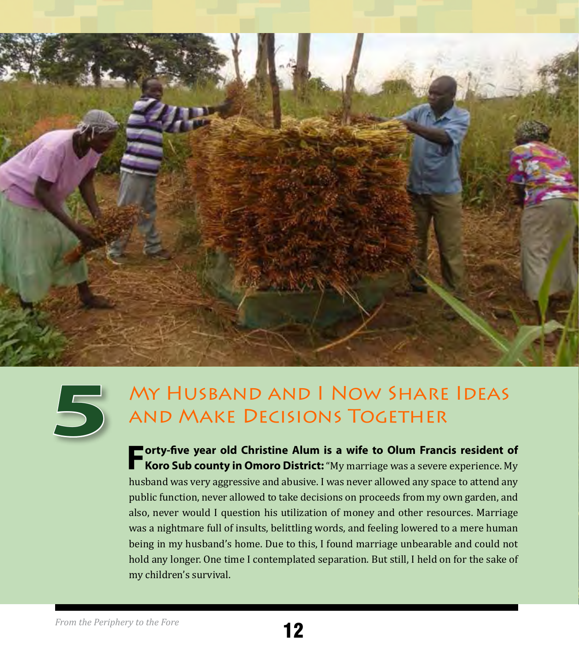



## My Husband and I Now Share Ideas and Make Decisions Together

**Forty-five year old Christine Alum is a wife to Olum Francis resident of <br><b>Koro Sub county in Omoro District:** "My marriage was a severe experience. My husband was very aggressive and abusive. I was never allowed any space to attend any public function, never allowed to take decisions on proceeds from my own garden, and also, never would I question his utilization of money and other resources. Marriage was a nightmare full of insults, belittling words, and feeling lowered to a mere human being in my husband's home. Due to this, I found marriage unbearable and could not hold any longer. One time I contemplated separation. But still, I held on for the sake of my children's survival.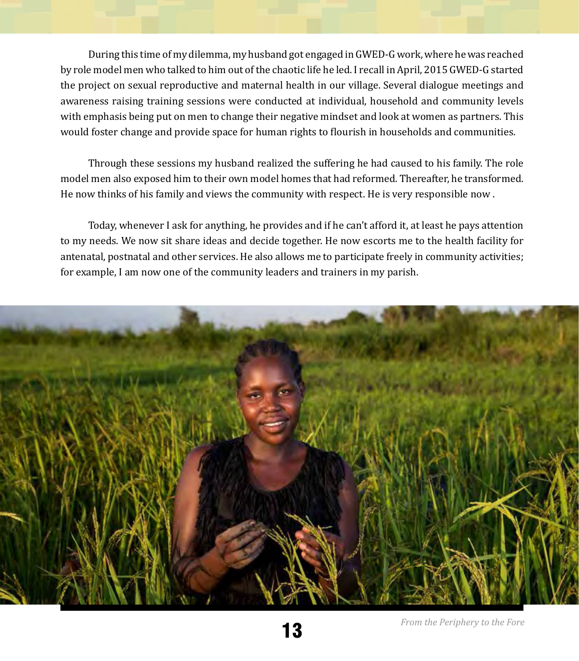During this time of my dilemma, my husband got engaged in GWED-G work, where he was reached by role model men who talked to him out of the chaotic life he led. I recall in April, 2015 GWED-G started the project on sexual reproductive and maternal health in our village. Several dialogue meetings and awareness raising training sessions were conducted at individual, household and community levels with emphasis being put on men to change their negative mindset and look at women as partners. This would foster change and provide space for human rights to flourish in households and communities.

Through these sessions my husband realized the suffering he had caused to his family. The role model men also exposed him to their own model homes that had reformed. Thereafter, he transformed. He now thinks of his family and views the community with respect. He is very responsible now .

Today, whenever I ask for anything, he provides and if he can't afford it, at least he pays attention to my needs. We now sit share ideas and decide together. He now escorts me to the health facility for antenatal, postnatal and other services. He also allows me to participate freely in community activities; for example, I am now one of the community leaders and trainers in my parish.

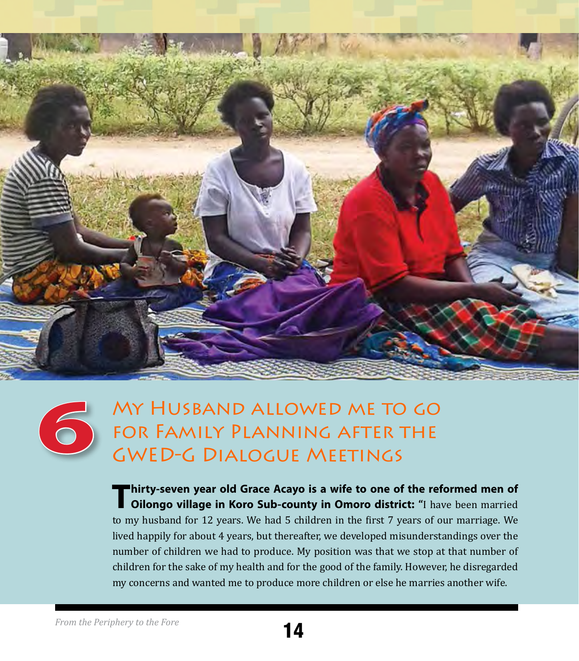

## My Husband allowed me to go for Family Planning after the GWED-G Dialogue Meetings

**Thirty-seven year old Grace Acayo is a wife to one of the reformed men of Oilongo village in Koro Sub-county in Omoro district: "**I have been married to my husband for 12 years. We had 5 children in the first 7 years of our marriage. We lived happily for about 4 years, but thereafter, we developed misunderstandings over the number of children we had to produce. My position was that we stop at that number of children for the sake of my health and for the good of the family. However, he disregarded my concerns and wanted me to produce more children or else he marries another wife.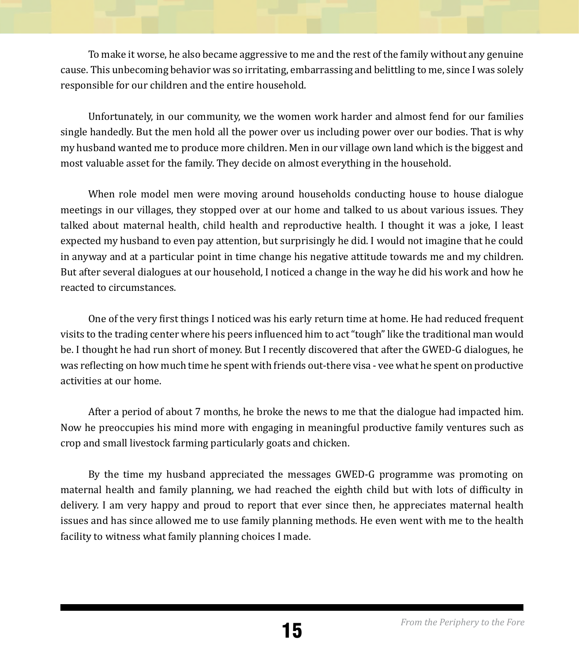To make it worse, he also became aggressive to me and the rest of the family without any genuine cause. This unbecoming behavior was so irritating, embarrassing and belittling to me, since I was solely responsible for our children and the entire household.

Unfortunately, in our community, we the women work harder and almost fend for our families single handedly. But the men hold all the power over us including power over our bodies. That is why my husband wanted me to produce more children. Men in our village own land which is the biggest and most valuable asset for the family. They decide on almost everything in the household.

When role model men were moving around households conducting house to house dialogue meetings in our villages, they stopped over at our home and talked to us about various issues. They talked about maternal health, child health and reproductive health. I thought it was a joke, I least expected my husband to even pay attention, but surprisingly he did. I would not imagine that he could in anyway and at a particular point in time change his negative attitude towards me and my children. But after several dialogues at our household, I noticed a change in the way he did his work and how he reacted to circumstances.

One of the very first things I noticed was his early return time at home. He had reduced frequent visits to the trading center where his peers influenced him to act "tough" like the traditional man would be. I thought he had run short of money. But I recently discovered that after the GWED-G dialogues, he was reflecting on how much time he spent with friends out-there visa - vee what he spent on productive activities at our home.

After a period of about 7 months, he broke the news to me that the dialogue had impacted him. Now he preoccupies his mind more with engaging in meaningful productive family ventures such as crop and small livestock farming particularly goats and chicken.

By the time my husband appreciated the messages GWED-G programme was promoting on maternal health and family planning, we had reached the eighth child but with lots of difficulty in delivery. I am very happy and proud to report that ever since then, he appreciates maternal health issues and has since allowed me to use family planning methods. He even went with me to the health facility to witness what family planning choices I made.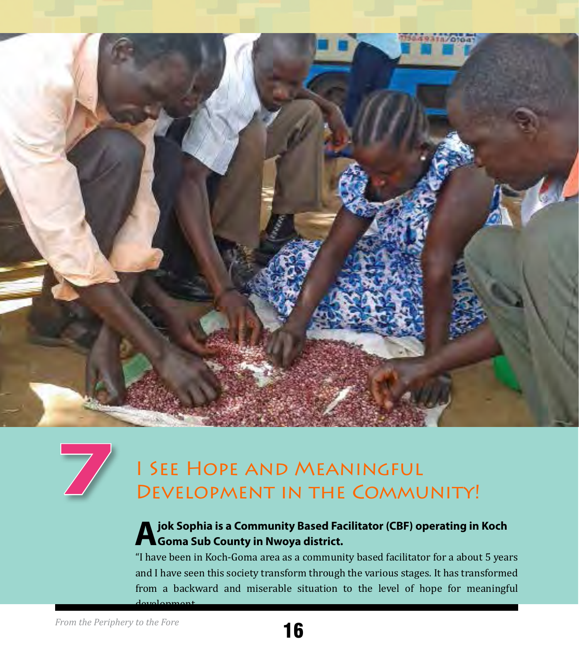



## I See Hope and Meaningful Development in the Community!

#### **A** jok Sophia is a Community Based Facilitator (CBF) operating in Koch **Fe** Goma Sub County in Nwoya district.

"I have been in Koch-Goma area as a community based facilitator for a about 5 years and I have seen this society transform through the various stages. It has transformed from a backward and miserable situation to the level of hope for meaningful development.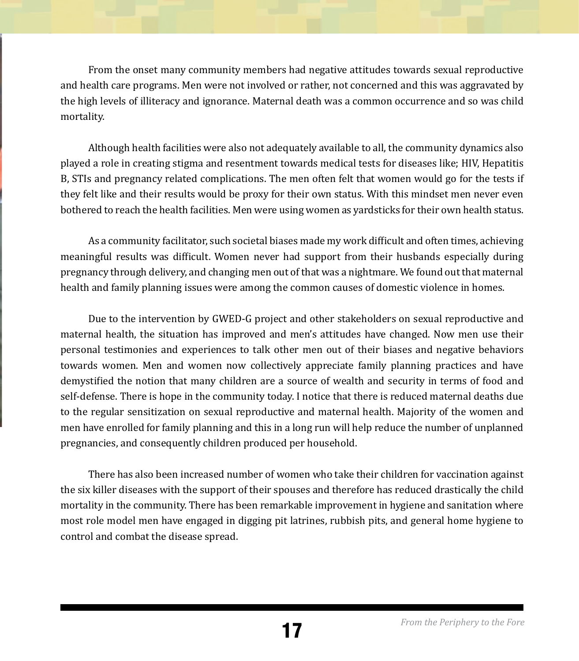From the onset many community members had negative attitudes towards sexual reproductive and health care programs. Men were not involved or rather, not concerned and this was aggravated by the high levels of illiteracy and ignorance. Maternal death was a common occurrence and so was child mortality.

Although health facilities were also not adequately available to all, the community dynamics also played a role in creating stigma and resentment towards medical tests for diseases like; HIV, Hepatitis B, STIs and pregnancy related complications. The men often felt that women would go for the tests if they felt like and their results would be proxy for their own status. With this mindset men never even bothered to reach the health facilities. Men were using women as yardsticks for their own health status.

As a community facilitator, such societal biases made my work difficult and often times, achieving meaningful results was difficult. Women never had support from their husbands especially during pregnancy through delivery, and changing men out of that was a nightmare. We found out that maternal health and family planning issues were among the common causes of domestic violence in homes.

Due to the intervention by GWED-G project and other stakeholders on sexual reproductive and maternal health, the situation has improved and men's attitudes have changed. Now men use their personal testimonies and experiences to talk other men out of their biases and negative behaviors towards women. Men and women now collectively appreciate family planning practices and have demystified the notion that many children are a source of wealth and security in terms of food and self-defense. There is hope in the community today. I notice that there is reduced maternal deaths due to the regular sensitization on sexual reproductive and maternal health. Majority of the women and men have enrolled for family planning and this in a long run will help reduce the number of unplanned pregnancies, and consequently children produced per household.

There has also been increased number of women who take their children for vaccination against the six killer diseases with the support of their spouses and therefore has reduced drastically the child mortality in the community. There has been remarkable improvement in hygiene and sanitation where most role model men have engaged in digging pit latrines, rubbish pits, and general home hygiene to control and combat the disease spread.